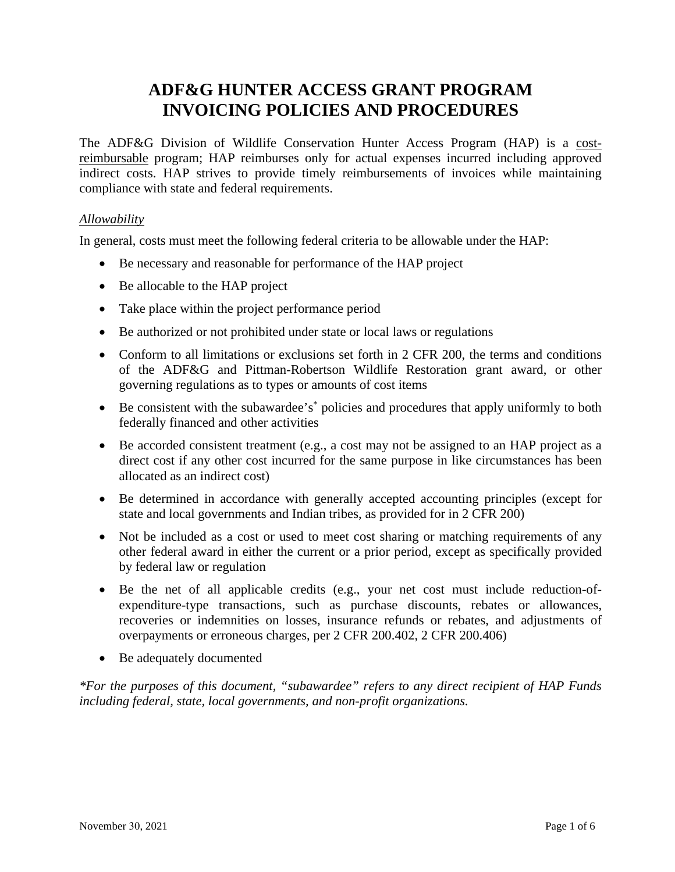# **ADF&G HUNTER ACCESS GRANT PROGRAM INVOICING POLICIES AND PROCEDURES**

The ADF&G Division of Wildlife Conservation Hunter Access Program (HAP) is a costreimbursable program; HAP reimburses only for actual expenses incurred including approved indirect costs. HAP strives to provide timely reimbursements of invoices while maintaining compliance with state and federal requirements.

## *Allowability*

In general, costs must meet the following federal criteria to be allowable under the HAP:

- Be necessary and reasonable for performance of the HAP project
- Be allocable to the HAP project
- Take place within the project performance period
- Be authorized or not prohibited under state or local laws or regulations
- Conform to all limitations or exclusions set forth in 2 CFR 200, the terms and conditions of the ADF&G and Pittman-Robertson Wildlife Restoration grant award, or other governing regulations as to types or amounts of cost items
- Be consistent with the subawardee's<sup>\*</sup> policies and procedures that apply uniformly to both federally financed and other activities
- Be accorded consistent treatment (e.g., a cost may not be assigned to an HAP project as a direct cost if any other cost incurred for the same purpose in like circumstances has been allocated as an indirect cost)
- Be determined in accordance with generally accepted accounting principles (except for state and local governments and Indian tribes, as provided for in 2 CFR 200)
- Not be included as a cost or used to meet cost sharing or matching requirements of any other federal award in either the current or a prior period, except as specifically provided by federal law or regulation
- Be the net of all applicable credits (e.g., your net cost must include reduction-ofexpenditure-type transactions, such as purchase discounts, rebates or allowances, recoveries or indemnities on losses, insurance refunds or rebates, and adjustments of overpayments or erroneous charges, per 2 CFR 200.402, 2 CFR 200.406)
- Be adequately documented

*\*For the purposes of this document, "subawardee" refers to any direct recipient of HAP Funds including federal, state, local governments, and non-profit organizations.*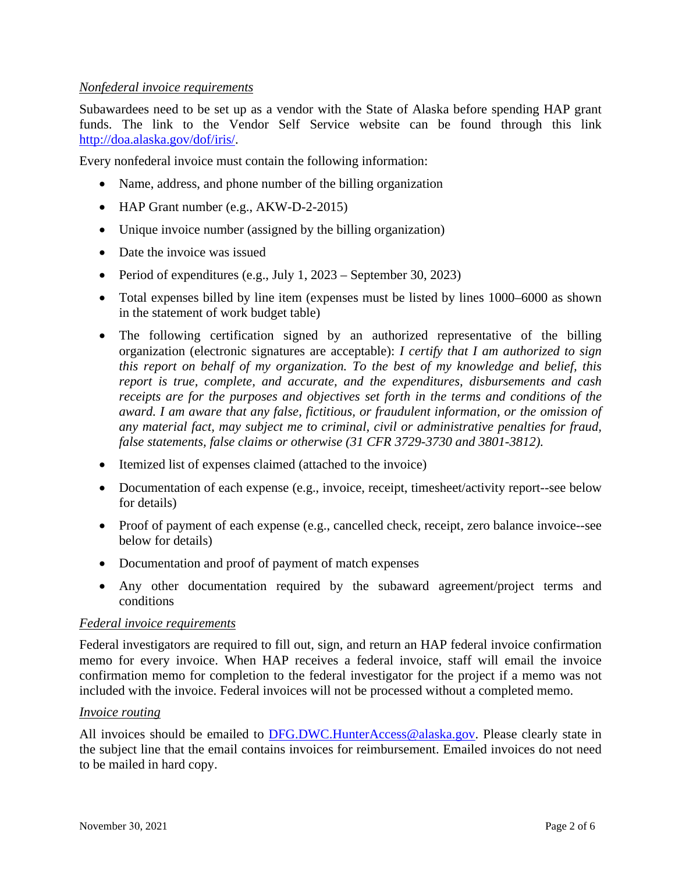## *Nonfederal invoice requirements*

Subawardees need to be set up as a vendor with the State of Alaska before spending HAP grant funds. The link to the Vendor Self Service website can be found through this link [http://doa.alaska.gov/dof/iris/.](http://doa.alaska.gov/dof/iris/)

Every nonfederal invoice must contain the following information:

- Name, address, and phone number of the billing organization
- HAP Grant number (e.g., AKW-D-2-2015)
- Unique invoice number (assigned by the billing organization)
- Date the invoice was issued
- Period of expenditures (e.g., July 1, 2023 September 30, 2023)
- Total expenses billed by line item (expenses must be listed by lines 1000–6000 as shown in the statement of work budget table)
- The following certification signed by an authorized representative of the billing organization (electronic signatures are acceptable): *I certify that I am authorized to sign this report on behalf of my organization. To the best of my knowledge and belief, this report is true, complete, and accurate, and the expenditures, disbursements and cash receipts are for the purposes and objectives set forth in the terms and conditions of the award. I am aware that any false, fictitious, or fraudulent information, or the omission of any material fact, may subject me to criminal, civil or administrative penalties for fraud, false statements, false claims or otherwise (31 CFR 3729-3730 and 3801-3812).*
- Itemized list of expenses claimed (attached to the invoice)
- Documentation of each expense (e.g., invoice, receipt, timesheet/activity report--see below for details)
- Proof of payment of each expense (e.g., cancelled check, receipt, zero balance invoice--see below for details)
- Documentation and proof of payment of match expenses
- Any other documentation required by the subaward agreement/project terms and conditions

#### *Federal invoice requirements*

Federal investigators are required to fill out, sign, and return an HAP federal invoice confirmation memo for every invoice. When HAP receives a federal invoice, staff will email the invoice confirmation memo for completion to the federal investigator for the project if a memo was not included with the invoice. Federal invoices will not be processed without a completed memo.

#### *Invoice routing*

All invoices should be emailed to [DFG.DWC.HunterAccess@alaska.gov.](mailto:DFG.DWC.HunterAccess@alaska.gov) Please clearly state in the subject line that the email contains invoices for reimbursement. Emailed invoices do not need to be mailed in hard copy.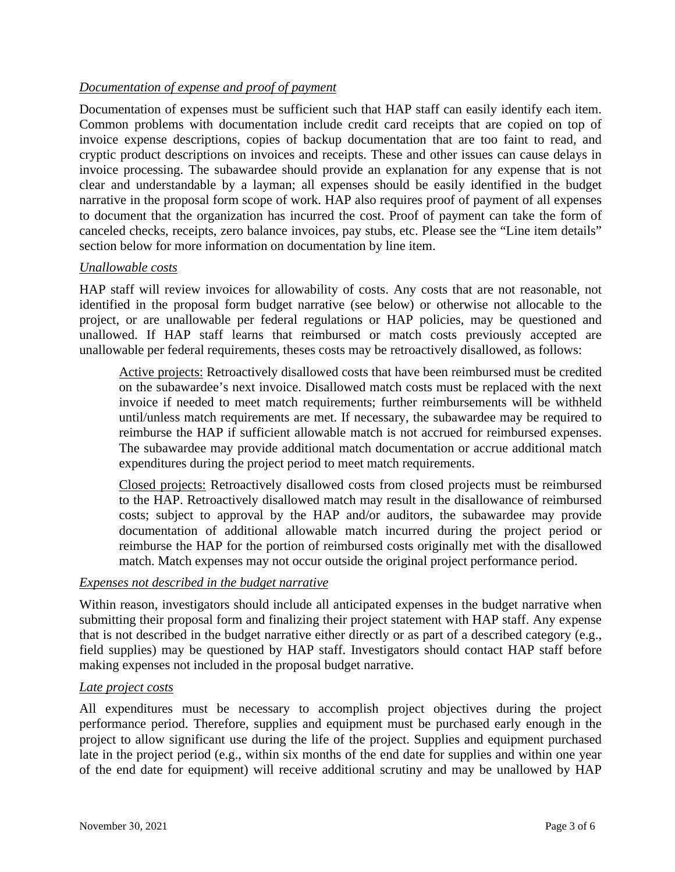# *Documentation of expense and proof of payment*

Documentation of expenses must be sufficient such that HAP staff can easily identify each item. Common problems with documentation include credit card receipts that are copied on top of invoice expense descriptions, copies of backup documentation that are too faint to read, and cryptic product descriptions on invoices and receipts. These and other issues can cause delays in invoice processing. The subawardee should provide an explanation for any expense that is not clear and understandable by a layman; all expenses should be easily identified in the budget narrative in the proposal form scope of work. HAP also requires proof of payment of all expenses to document that the organization has incurred the cost. Proof of payment can take the form of canceled checks, receipts, zero balance invoices, pay stubs, etc. Please see the "Line item details" section below for more information on documentation by line item.

#### *Unallowable costs*

HAP staff will review invoices for allowability of costs. Any costs that are not reasonable, not identified in the proposal form budget narrative (see below) or otherwise not allocable to the project, or are unallowable per federal regulations or HAP policies, may be questioned and unallowed. If HAP staff learns that reimbursed or match costs previously accepted are unallowable per federal requirements, theses costs may be retroactively disallowed, as follows:

Active projects: Retroactively disallowed costs that have been reimbursed must be credited on the subawardee's next invoice. Disallowed match costs must be replaced with the next invoice if needed to meet match requirements; further reimbursements will be withheld until/unless match requirements are met. If necessary, the subawardee may be required to reimburse the HAP if sufficient allowable match is not accrued for reimbursed expenses. The subawardee may provide additional match documentation or accrue additional match expenditures during the project period to meet match requirements.

Closed projects: Retroactively disallowed costs from closed projects must be reimbursed to the HAP. Retroactively disallowed match may result in the disallowance of reimbursed costs; subject to approval by the HAP and/or auditors, the subawardee may provide documentation of additional allowable match incurred during the project period or reimburse the HAP for the portion of reimbursed costs originally met with the disallowed match. Match expenses may not occur outside the original project performance period.

#### *Expenses not described in the budget narrative*

Within reason, investigators should include all anticipated expenses in the budget narrative when submitting their proposal form and finalizing their project statement with HAP staff. Any expense that is not described in the budget narrative either directly or as part of a described category (e.g., field supplies) may be questioned by HAP staff. Investigators should contact HAP staff before making expenses not included in the proposal budget narrative.

#### *Late project costs*

All expenditures must be necessary to accomplish project objectives during the project performance period. Therefore, supplies and equipment must be purchased early enough in the project to allow significant use during the life of the project. Supplies and equipment purchased late in the project period (e.g., within six months of the end date for supplies and within one year of the end date for equipment) will receive additional scrutiny and may be unallowed by HAP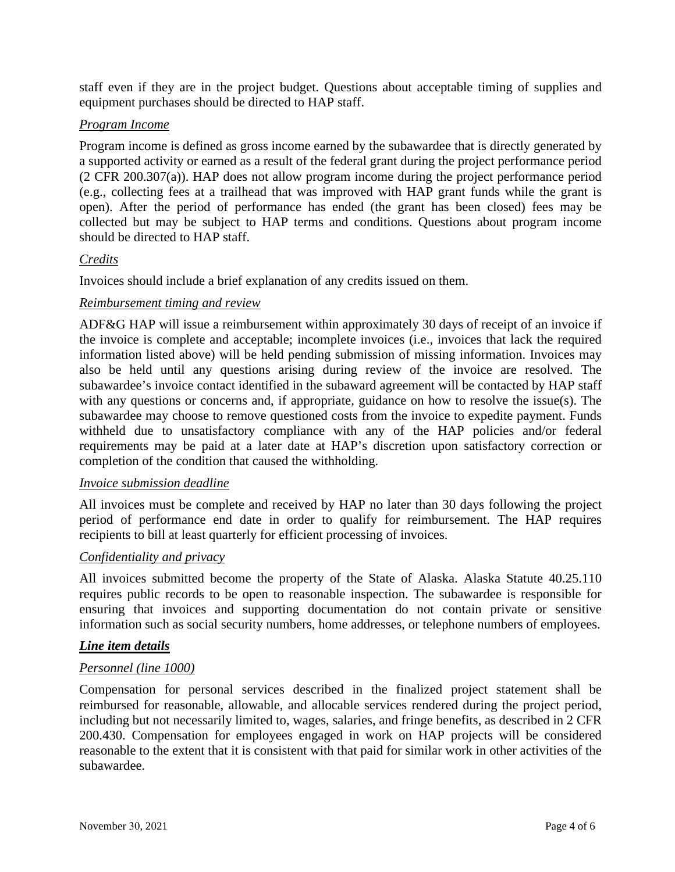staff even if they are in the project budget. Questions about acceptable timing of supplies and equipment purchases should be directed to HAP staff.

## *Program Income*

Program income is defined as gross income earned by the subawardee that is directly generated by a supported activity or earned as a result of the federal grant during the project performance period (2 CFR 200.307(a)). HAP does not allow program income during the project performance period (e.g., collecting fees at a trailhead that was improved with HAP grant funds while the grant is open). After the period of performance has ended (the grant has been closed) fees may be collected but may be subject to HAP terms and conditions. Questions about program income should be directed to HAP staff.

# *Credits*

Invoices should include a brief explanation of any credits issued on them.

# *Reimbursement timing and review*

ADF&G HAP will issue a reimbursement within approximately 30 days of receipt of an invoice if the invoice is complete and acceptable; incomplete invoices (i.e., invoices that lack the required information listed above) will be held pending submission of missing information. Invoices may also be held until any questions arising during review of the invoice are resolved. The subawardee's invoice contact identified in the subaward agreement will be contacted by HAP staff with any questions or concerns and, if appropriate, guidance on how to resolve the issue(s). The subawardee may choose to remove questioned costs from the invoice to expedite payment. Funds withheld due to unsatisfactory compliance with any of the HAP policies and/or federal requirements may be paid at a later date at HAP's discretion upon satisfactory correction or completion of the condition that caused the withholding.

#### *Invoice submission deadline*

All invoices must be complete and received by HAP no later than 30 days following the project period of performance end date in order to qualify for reimbursement. The HAP requires recipients to bill at least quarterly for efficient processing of invoices.

#### *Confidentiality and privacy*

All invoices submitted become the property of the State of Alaska. Alaska Statute 40.25.110 requires public records to be open to reasonable inspection. The subawardee is responsible for ensuring that invoices and supporting documentation do not contain private or sensitive information such as social security numbers, home addresses, or telephone numbers of employees.

#### *Line item details*

#### *Personnel (line 1000)*

Compensation for personal services described in the finalized project statement shall be reimbursed for reasonable, allowable, and allocable services rendered during the project period, including but not necessarily limited to, wages, salaries, and fringe benefits, as described in 2 CFR 200.430. Compensation for employees engaged in work on HAP projects will be considered reasonable to the extent that it is consistent with that paid for similar work in other activities of the subawardee.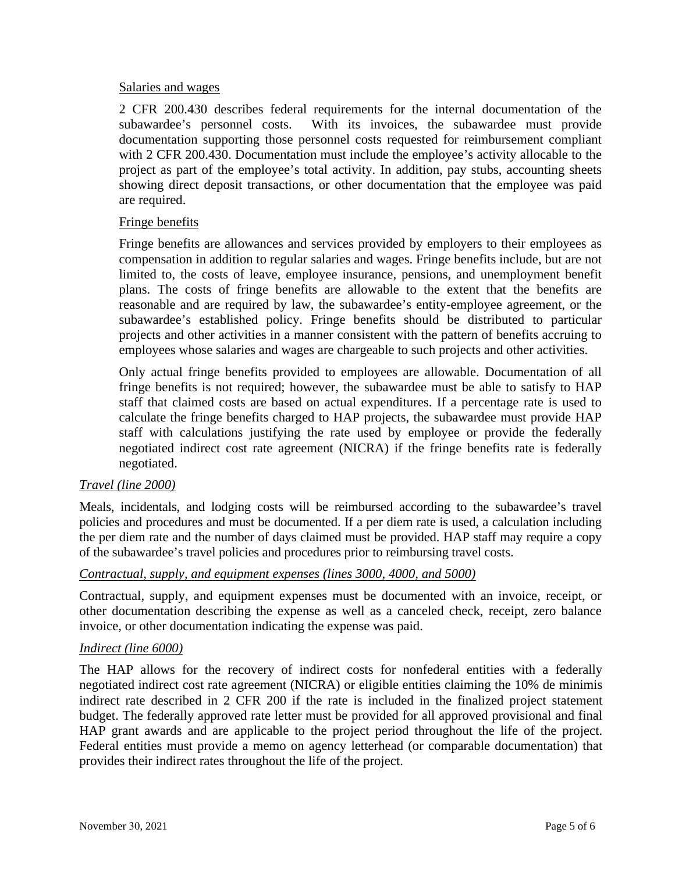#### Salaries and wages

2 CFR 200.430 describes federal requirements for the internal documentation of the subawardee's personnel costs. With its invoices, the subawardee must provide documentation supporting those personnel costs requested for reimbursement compliant with 2 CFR 200.430. Documentation must include the employee's activity allocable to the project as part of the employee's total activity. In addition, pay stubs, accounting sheets showing direct deposit transactions, or other documentation that the employee was paid are required.

#### Fringe benefits

Fringe benefits are allowances and services provided by employers to their employees as compensation in addition to regular salaries and wages. Fringe benefits include, but are not limited to, the costs of leave, employee insurance, pensions, and unemployment benefit plans. The costs of fringe benefits are allowable to the extent that the benefits are reasonable and are required by law, the subawardee's entity-employee agreement, or the subawardee's established policy. Fringe benefits should be distributed to particular projects and other activities in a manner consistent with the pattern of benefits accruing to employees whose salaries and wages are chargeable to such projects and other activities.

Only actual fringe benefits provided to employees are allowable. Documentation of all fringe benefits is not required; however, the subawardee must be able to satisfy to HAP staff that claimed costs are based on actual expenditures. If a percentage rate is used to calculate the fringe benefits charged to HAP projects, the subawardee must provide HAP staff with calculations justifying the rate used by employee or provide the federally negotiated indirect cost rate agreement (NICRA) if the fringe benefits rate is federally negotiated.

#### *Travel (line 2000)*

Meals, incidentals, and lodging costs will be reimbursed according to the subawardee's travel policies and procedures and must be documented. If a per diem rate is used, a calculation including the per diem rate and the number of days claimed must be provided. HAP staff may require a copy of the subawardee's travel policies and procedures prior to reimbursing travel costs.

#### *Contractual, supply, and equipment expenses (lines 3000, 4000, and 5000)*

Contractual, supply, and equipment expenses must be documented with an invoice, receipt, or other documentation describing the expense as well as a canceled check, receipt, zero balance invoice, or other documentation indicating the expense was paid.

#### *Indirect (line 6000)*

The HAP allows for the recovery of indirect costs for nonfederal entities with a federally negotiated indirect cost rate agreement (NICRA) or eligible entities claiming the 10% de minimis indirect rate described in 2 CFR 200 if the rate is included in the finalized project statement budget. The federally approved rate letter must be provided for all approved provisional and final HAP grant awards and are applicable to the project period throughout the life of the project. Federal entities must provide a memo on agency letterhead (or comparable documentation) that provides their indirect rates throughout the life of the project.